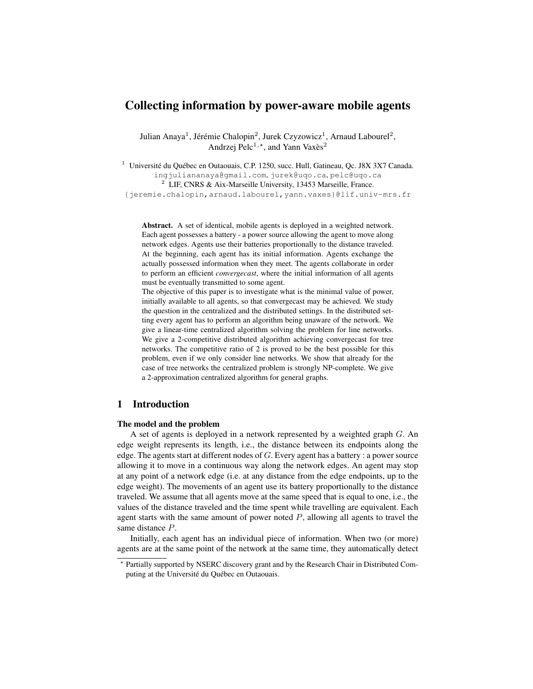# Collecting information by power-aware mobile agents

Julian Anaya<sup>1</sup>, Jérémie Chalopin<sup>2</sup>, Jurek Czyzowicz<sup>1</sup>, Arnaud Labourel<sup>2</sup>, Andrzej Pelc<sup>1, $\star$ </sup>, and Yann Vaxès<sup>2</sup>

<sup>1</sup> Université du Québec en Outaouais, C.P. 1250, succ. Hull, Gatineau, Qc. J8X 3X7 Canada. ingjuliananaya@gmail.com, jurek@uqo.ca, pelc@uqo.ca <sup>2</sup> LIF, CNRS & Aix-Marseille University, 13453 Marseille, France. {jeremie.chalopin,arnaud.labourel,yann.vaxes}@lif.univ-mrs.fr

Abstract. A set of identical, mobile agents is deployed in a weighted network. Each agent possesses a battery - a power source allowing the agent to move along network edges. Agents use their batteries proportionally to the distance traveled. At the beginning, each agent has its initial information. Agents exchange the actually possessed information when they meet. The agents collaborate in order to perform an efficient *convergecast*, where the initial information of all agents must be eventually transmitted to some agent.

The objective of this paper is to investigate what is the minimal value of power, initially available to all agents, so that convergecast may be achieved. We study the question in the centralized and the distributed settings. In the distributed setting every agent has to perform an algorithm being unaware of the network. We give a linear-time centralized algorithm solving the problem for line networks. We give a 2-competitive distributed algorithm achieving convergecast for tree networks. The competitive ratio of 2 is proved to be the best possible for this problem, even if we only consider line networks. We show that already for the case of tree networks the centralized problem is strongly NP-complete. We give a 2-approximation centralized algorithm for general graphs.

# 1 Introduction

#### The model and the problem

A set of agents is deployed in a network represented by a weighted graph G. An edge weight represents its length, i.e., the distance between its endpoints along the edge. The agents start at different nodes of G. Every agent has a battery : a power source allowing it to move in a continuous way along the network edges. An agent may stop at any point of a network edge (i.e. at any distance from the edge endpoints, up to the edge weight). The movements of an agent use its battery proportionally to the distance traveled. We assume that all agents move at the same speed that is equal to one, i.e., the values of the distance traveled and the time spent while travelling are equivalent. Each agent starts with the same amount of power noted  $P$ , allowing all agents to travel the same distance P.

Initially, each agent has an individual piece of information. When two (or more) agents are at the same point of the network at the same time, they automatically detect

<sup>?</sup> Partially supported by NSERC discovery grant and by the Research Chair in Distributed Computing at the Université du Québec en Outaouais.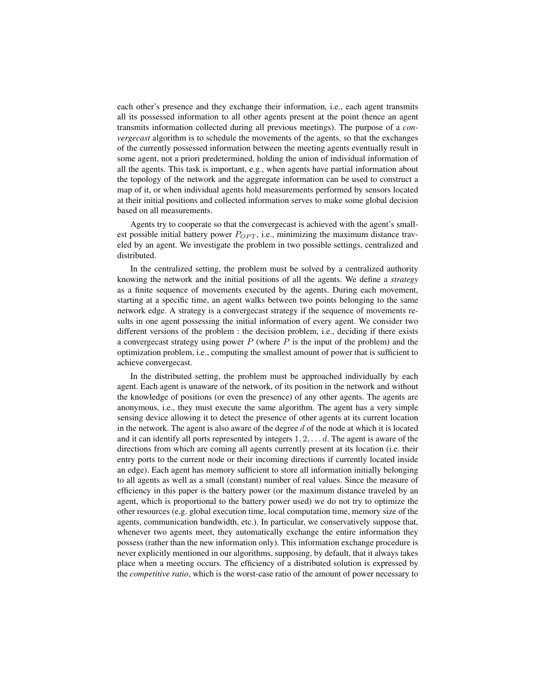each other's presence and they exchange their information, i.e., each agent transmits all its possessed information to all other agents present at the point (hence an agent transmits information collected during all previous meetings). The purpose of a *convergecast* algorithm is to schedule the movements of the agents, so that the exchanges of the currently possessed information between the meeting agents eventually result in some agent, not a priori predetermined, holding the union of individual information of all the agents. This task is important, e.g., when agents have partial information about the topology of the network and the aggregate information can be used to construct a map of it, or when individual agents hold measurements performed by sensors located at their initial positions and collected information serves to make some global decision based on all measurements.

Agents try to cooperate so that the convergecast is achieved with the agent's smallest possible initial battery power  $P_{OPT}$ , i.e., minimizing the maximum distance traveled by an agent. We investigate the problem in two possible settings, centralized and distributed.

In the centralized setting, the problem must be solved by a centralized authority knowing the network and the initial positions of all the agents. We define a *strategy* as a finite sequence of movements executed by the agents. During each movement, starting at a specific time, an agent walks between two points belonging to the same network edge. A strategy is a convergecast strategy if the sequence of movements results in one agent possessing the initial information of every agent. We consider two different versions of the problem : the decision problem, i.e., deciding if there exists a convergecast strategy using power  $P$  (where  $P$  is the input of the problem) and the optimization problem, i.e., computing the smallest amount of power that is sufficient to achieve convergecast.

In the distributed setting, the problem must be approached individually by each agent. Each agent is unaware of the network, of its position in the network and without the knowledge of positions (or even the presence) of any other agents. The agents are anonymous, i.e., they must execute the same algorithm. The agent has a very simple sensing device allowing it to detect the presence of other agents at its current location in the network. The agent is also aware of the degree  $d$  of the node at which it is located and it can identify all ports represented by integers  $1, 2, \ldots d$ . The agent is aware of the directions from which are coming all agents currently present at its location (i.e. their entry ports to the current node or their incoming directions if currently located inside an edge). Each agent has memory sufficient to store all information initially belonging to all agents as well as a small (constant) number of real values. Since the measure of efficiency in this paper is the battery power (or the maximum distance traveled by an agent, which is proportional to the battery power used) we do not try to optimize the other resources (e.g. global execution time, local computation time, memory size of the agents, communication bandwidth, etc.). In particular, we conservatively suppose that, whenever two agents meet, they automatically exchange the entire information they possess (rather than the new information only). This information exchange procedure is never explicitly mentioned in our algorithms, supposing, by default, that it always takes place when a meeting occurs. The efficiency of a distributed solution is expressed by the *competitive ratio*, which is the worst-case ratio of the amount of power necessary to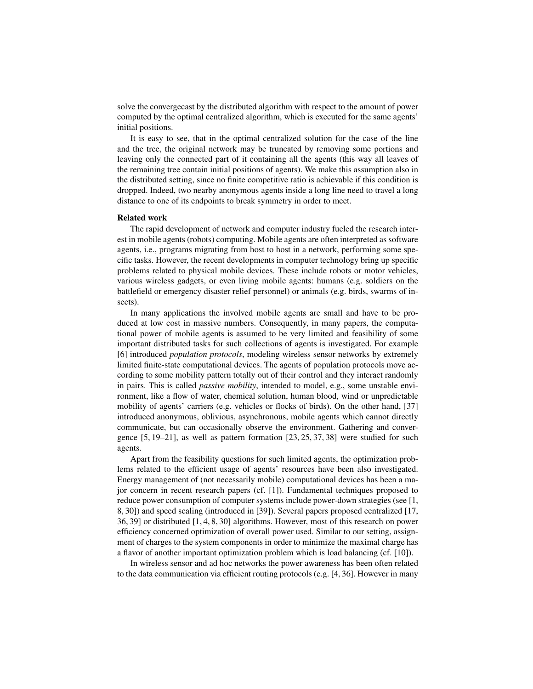solve the convergecast by the distributed algorithm with respect to the amount of power computed by the optimal centralized algorithm, which is executed for the same agents' initial positions.

It is easy to see, that in the optimal centralized solution for the case of the line and the tree, the original network may be truncated by removing some portions and leaving only the connected part of it containing all the agents (this way all leaves of the remaining tree contain initial positions of agents). We make this assumption also in the distributed setting, since no finite competitive ratio is achievable if this condition is dropped. Indeed, two nearby anonymous agents inside a long line need to travel a long distance to one of its endpoints to break symmetry in order to meet.

#### Related work

The rapid development of network and computer industry fueled the research interest in mobile agents (robots) computing. Mobile agents are often interpreted as software agents, i.e., programs migrating from host to host in a network, performing some specific tasks. However, the recent developments in computer technology bring up specific problems related to physical mobile devices. These include robots or motor vehicles, various wireless gadgets, or even living mobile agents: humans (e.g. soldiers on the battlefield or emergency disaster relief personnel) or animals (e.g. birds, swarms of insects).

In many applications the involved mobile agents are small and have to be produced at low cost in massive numbers. Consequently, in many papers, the computational power of mobile agents is assumed to be very limited and feasibility of some important distributed tasks for such collections of agents is investigated. For example [6] introduced *population protocols*, modeling wireless sensor networks by extremely limited finite-state computational devices. The agents of population protocols move according to some mobility pattern totally out of their control and they interact randomly in pairs. This is called *passive mobility*, intended to model, e.g., some unstable environment, like a flow of water, chemical solution, human blood, wind or unpredictable mobility of agents' carriers (e.g. vehicles or flocks of birds). On the other hand, [37] introduced anonymous, oblivious, asynchronous, mobile agents which cannot directly communicate, but can occasionally observe the environment. Gathering and convergence [5, 19–21], as well as pattern formation [23, 25, 37, 38] were studied for such agents.

Apart from the feasibility questions for such limited agents, the optimization problems related to the efficient usage of agents' resources have been also investigated. Energy management of (not necessarily mobile) computational devices has been a major concern in recent research papers (cf. [1]). Fundamental techniques proposed to reduce power consumption of computer systems include power-down strategies (see [1, 8, 30]) and speed scaling (introduced in [39]). Several papers proposed centralized [17, 36, 39] or distributed [1, 4, 8, 30] algorithms. However, most of this research on power efficiency concerned optimization of overall power used. Similar to our setting, assignment of charges to the system components in order to minimize the maximal charge has a flavor of another important optimization problem which is load balancing (cf. [10]).

In wireless sensor and ad hoc networks the power awareness has been often related to the data communication via efficient routing protocols (e.g. [4, 36]. However in many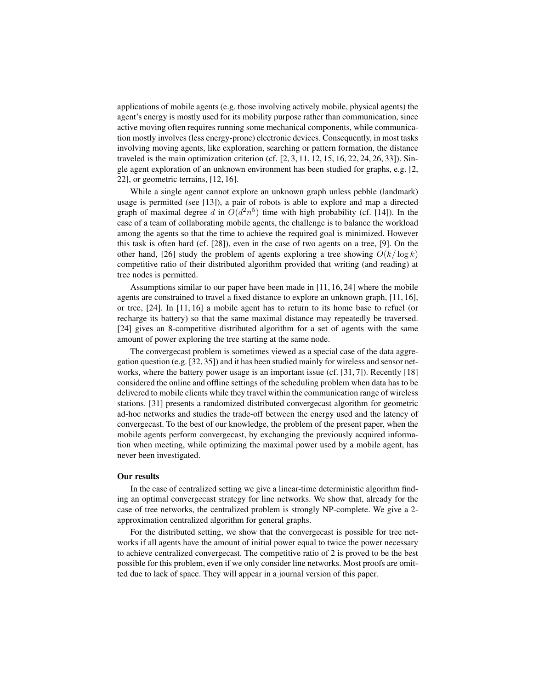applications of mobile agents (e.g. those involving actively mobile, physical agents) the agent's energy is mostly used for its mobility purpose rather than communication, since active moving often requires running some mechanical components, while communication mostly involves (less energy-prone) electronic devices. Consequently, in most tasks involving moving agents, like exploration, searching or pattern formation, the distance traveled is the main optimization criterion (cf. [2, 3, 11, 12, 15, 16, 22, 24, 26, 33]). Single agent exploration of an unknown environment has been studied for graphs, e.g. [2, 22], or geometric terrains, [12, 16].

While a single agent cannot explore an unknown graph unless pebble (landmark) usage is permitted (see [13]), a pair of robots is able to explore and map a directed graph of maximal degree d in  $O(d^2n^5)$  time with high probability (cf. [14]). In the case of a team of collaborating mobile agents, the challenge is to balance the workload among the agents so that the time to achieve the required goal is minimized. However this task is often hard (cf. [28]), even in the case of two agents on a tree, [9]. On the other hand, [26] study the problem of agents exploring a tree showing  $O(k/\log k)$ competitive ratio of their distributed algorithm provided that writing (and reading) at tree nodes is permitted.

Assumptions similar to our paper have been made in [11, 16, 24] where the mobile agents are constrained to travel a fixed distance to explore an unknown graph, [11, 16], or tree, [24]. In [11, 16] a mobile agent has to return to its home base to refuel (or recharge its battery) so that the same maximal distance may repeatedly be traversed. [24] gives an 8-competitive distributed algorithm for a set of agents with the same amount of power exploring the tree starting at the same node.

The convergecast problem is sometimes viewed as a special case of the data aggregation question (e.g. [32, 35]) and it has been studied mainly for wireless and sensor networks, where the battery power usage is an important issue (cf. [31, 7]). Recently [18] considered the online and offline settings of the scheduling problem when data has to be delivered to mobile clients while they travel within the communication range of wireless stations. [31] presents a randomized distributed convergecast algorithm for geometric ad-hoc networks and studies the trade-off between the energy used and the latency of convergecast. To the best of our knowledge, the problem of the present paper, when the mobile agents perform convergecast, by exchanging the previously acquired information when meeting, while optimizing the maximal power used by a mobile agent, has never been investigated.

#### Our results

In the case of centralized setting we give a linear-time deterministic algorithm finding an optimal convergecast strategy for line networks. We show that, already for the case of tree networks, the centralized problem is strongly NP-complete. We give a 2 approximation centralized algorithm for general graphs.

For the distributed setting, we show that the convergecast is possible for tree networks if all agents have the amount of initial power equal to twice the power necessary to achieve centralized convergecast. The competitive ratio of 2 is proved to be the best possible for this problem, even if we only consider line networks. Most proofs are omitted due to lack of space. They will appear in a journal version of this paper.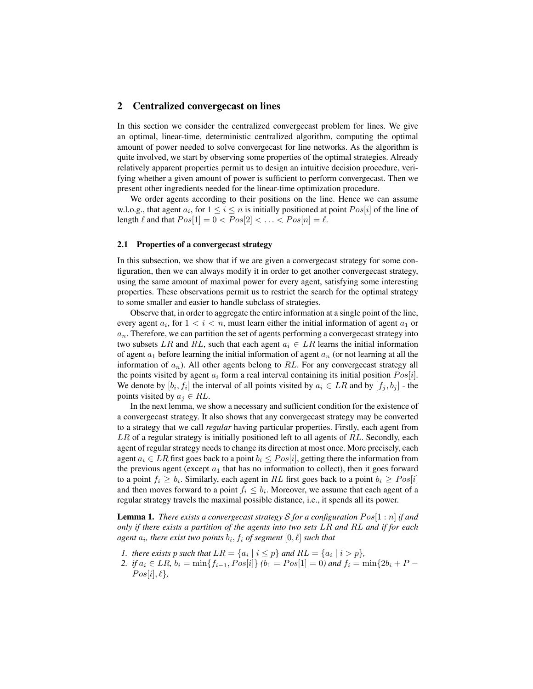### 2 Centralized convergecast on lines

In this section we consider the centralized convergecast problem for lines. We give an optimal, linear-time, deterministic centralized algorithm, computing the optimal amount of power needed to solve convergecast for line networks. As the algorithm is quite involved, we start by observing some properties of the optimal strategies. Already relatively apparent properties permit us to design an intuitive decision procedure, verifying whether a given amount of power is sufficient to perform convergecast. Then we present other ingredients needed for the linear-time optimization procedure.

We order agents according to their positions on the line. Hence we can assume w.l.o.g., that agent  $a_i$ , for  $1 \le i \le n$  is initially positioned at point  $Pos[i]$  of the line of length  $\ell$  and that  $Pos[1] = 0 < Pos[2] < \ldots < Pos[n] = \ell$ .

### 2.1 Properties of a convergecast strategy

In this subsection, we show that if we are given a convergecast strategy for some configuration, then we can always modify it in order to get another convergecast strategy, using the same amount of maximal power for every agent, satisfying some interesting properties. These observations permit us to restrict the search for the optimal strategy to some smaller and easier to handle subclass of strategies.

Observe that, in order to aggregate the entire information at a single point of the line, every agent  $a_i$ , for  $1 < i < n$ , must learn either the initial information of agent  $a_1$  or  $a_n$ . Therefore, we can partition the set of agents performing a converge cast strategy into two subsets LR and RL, such that each agent  $a_i \in LR$  learns the initial information of agent  $a_1$  before learning the initial information of agent  $a_n$  (or not learning at all the information of  $a_n$ ). All other agents belong to RL. For any converge cast strategy all the points visited by agent  $a_i$  form a real interval containing its initial position  $Pos[i]$ . We denote by  $[b_i, f_i]$  the interval of all points visited by  $a_i \in LR$  and by  $[f_j, b_j]$  - the points visited by  $a_i \in RL$ .

In the next lemma, we show a necessary and sufficient condition for the existence of a convergecast strategy. It also shows that any convergecast strategy may be converted to a strategy that we call *regular* having particular properties. Firstly, each agent from  $LR$  of a regular strategy is initially positioned left to all agents of  $RL$ . Secondly, each agent of regular strategy needs to change its direction at most once. More precisely, each agent  $a_i \in LR$  first goes back to a point  $b_i \leq Pos[i]$ , getting there the information from the previous agent (except  $a_1$  that has no information to collect), then it goes forward to a point  $f_i \ge b_i$ . Similarly, each agent in RL first goes back to a point  $b_i \ge Pos[i]$ and then moves forward to a point  $f_i \leq b_i$ . Moreover, we assume that each agent of a regular strategy travels the maximal possible distance, i.e., it spends all its power.

**Lemma 1.** *There exists a convergecast strategy S for a configuration*  $Pos[1:n]$  *if and only if there exists a partition of the agents into two sets* LR *and* RL *and if for each*  $a$ gent  $a_i$ , there exist two points  $b_i, f_i$  of segment  $[0, \ell]$  such that

- *1. there exists* p *such that*  $LR = \{a_i \mid i \leq p\}$  *and*  $RL = \{a_i \mid i > p\}$ *,*
- *2. if*  $a_i \text{ ∈ } LR$ ,  $b_i = \min\{f_{i-1}, Pos[i]\}$  *(b*<sub>1</sub> = *Pos*[1] = 0*)* and  $f_i = \min\{2b_i + P \min\{d_i\}\}$  $Pos[i], \ell$ <sup>}</sup>,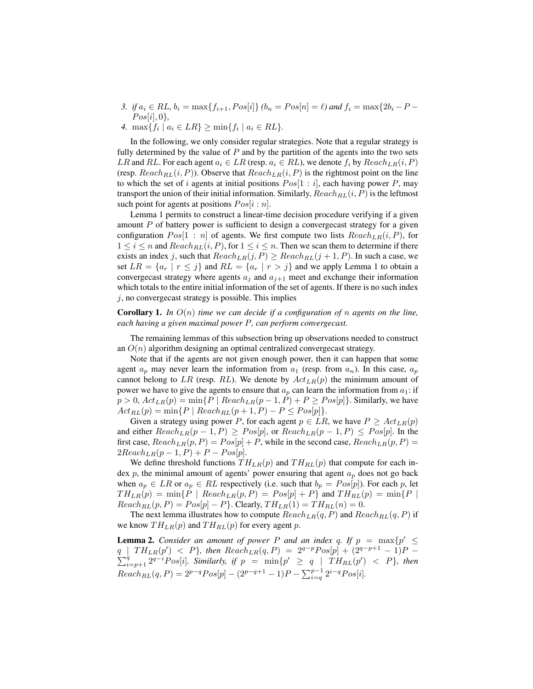- *3. if*  $a_i \in RL$ ,  $b_i = \max\{f_{i+1}, Pos[i]\}$  *(b<sub>n</sub>* = *Pos*[*n*] = *ℓ)* and  $f_i = \max\{2b_i P P\}$  $Pos[i], 0\},\$
- *4.*  $\max\{f_i \mid a_i \in LR\} \ge \min\{f_i \mid a_i \in RL\}.$

In the following, we only consider regular strategies. Note that a regular strategy is fully determined by the value of  $P$  and by the partition of the agents into the two sets LR and RL. For each agent  $a_i \in LR$  (resp.  $a_i \in RL$ ), we denote  $f_i$  by  $Reach_{LR}(i, P)$ (resp.  $Reach_{RL}(i, P)$ ). Observe that  $Reach_{LR}(i, P)$  is the rightmost point on the line to which the set of i agents at initial positions  $Pos[1 : i]$ , each having power P, may transport the union of their initial information. Similarly,  $Reach_{RL}(i, P)$  is the leftmost such point for agents at positions  $Pos[i:n]$ .

Lemma 1 permits to construct a linear-time decision procedure verifying if a given amount  $P$  of battery power is sufficient to design a convergecast strategy for a given configuration  $Pos[1:n]$  of agents. We first compute two lists  $Reach_{LR}(i, P)$ , for  $1 \leq i \leq n$  and  $Reach_{RL}(i, P)$ , for  $1 \leq i \leq n$ . Then we scan them to determine if there exists an index j, such that  $Reach_{LR}(j, P) \geq Reach_{RL}(j + 1, P)$ . In such a case, we set  $LR = \{a_r | r \leq j\}$  and  $RL = \{a_r | r > j\}$  and we apply Lemma 1 to obtain a convergecast strategy where agents  $a_j$  and  $a_{j+1}$  meet and exchange their information which totals to the entire initial information of the set of agents. If there is no such index  $j$ , no convergecast strategy is possible. This implies

Corollary 1. *In* O(n) *time we can decide if a configuration of* n *agents on the line, each having a given maximal power* P*, can perform convergecast.*

The remaining lemmas of this subsection bring up observations needed to construct an  $O(n)$  algorithm designing an optimal centralized converge cast strategy.

Note that if the agents are not given enough power, then it can happen that some agent  $a_p$  may never learn the information from  $a_1$  (resp. from  $a_n$ ). In this case,  $a_p$ cannot belong to LR (resp. RL). We denote by  $Act_{LR}(p)$  the minimum amount of power we have to give the agents to ensure that  $a_p$  can learn the information from  $a_1$ : if  $p > 0$ ,  $Act_{LR}(p) = \min\{P \mid Readh_{LR}(p-1, P) + P \ge Pos[p]\}$ . Similarly, we have  $Act_{RL}(p) = \min\{P \mid Reach_{RL}(p+1, P) - P \leq Pos[p]\}.$ 

Given a strategy using power P, for each agent  $p \in LR$ , we have  $P \geq Act_{LR}(p)$ and either  $Reach_{LR}(p-1, P) \ge Pos[p]$ , or  $Reach_{LR}(p-1, P) \le Pos[p]$ . In the first case,  $Reach_{LR}(p, P) = Pos[p] + P$ , while in the second case,  $Reach_{LR}(p, P) =$  $2Reach_{LR}(p-1, P) + P - Pos[p].$ 

We define threshold functions  $TH_{LR}(p)$  and  $TH_{RL}(p)$  that compute for each index p, the minimal amount of agents' power ensuring that agent  $a_p$  does not go back when  $a_p \in LR$  or  $a_p \in RL$  respectively (i.e. such that  $b_p = Pos[p]$ ). For each p, let  $TH_{LR}(p) = \min\{P \mid Readch_{LR}(p, P) = Pos[p] + P\}$  and  $TH_{RL}(p) = \min\{P \mid Re_{LR}(p, P) = Pos[p] + P\}$  $Reach_{RL}(p, P) = Pos[p] - P$ . Clearly,  $TH_{LR}(1) = TH_{RL}(n) = 0$ .

The next lemma illustrates how to compute  $Reach_{LR}(q, P)$  and  $Reach_{RL}(q, P)$  if we know  $TH_{LR}(p)$  and  $TH_{RL}(p)$  for every agent p.

**Lemma 2.** Consider an amount of power P and an index q. If  $p = \max\{p' \leq$  $q \mid TH_{LR}(p') < P\}$ , then  $Reach_{LR}(q, P) = 2^{q-p}Pos[p] + (2^{q-p+1}-1)P \sum_{i=p+1}^{q} 2^{q-i} Pos[i]$ *. Similarly, if*  $p = \min\{p' \ge q \mid TH_{RL}(p') < P\}$ *, then*  $Reach_{RL}(q, P) = 2^{p-q}Pos[p] - (2^{p-q+1}-1)P - \sum_{i=q}^{p-1} 2^{i-q}Pos[i].$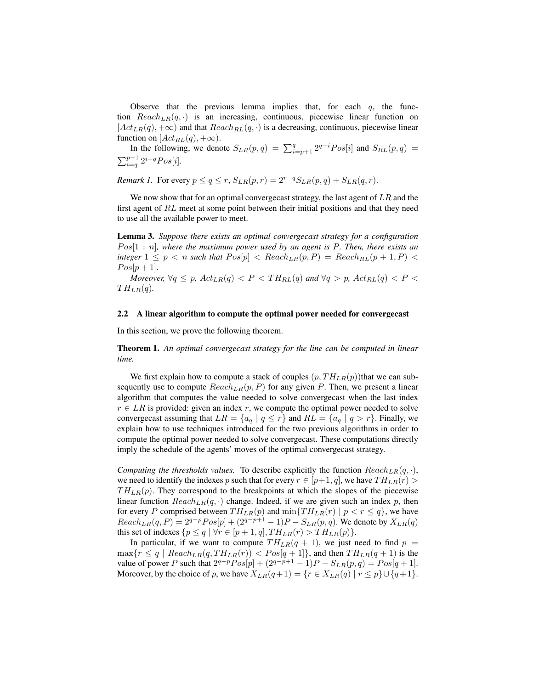Observe that the previous lemma implies that, for each  $q$ , the function  $Reach_{LR}(q, \cdot)$  is an increasing, continuous, piecewise linear function on  $[Act_{LR}(q), +\infty)$  and that  $Reach_{RL}(q, \cdot)$  is a decreasing, continuous, piecewise linear function on  $[Act_{RL}(q), +\infty)$ .

In the following, we denote  $S_{LR}(p,q) = \sum_{i=p+1}^{q} 2^{q-i}Pos[i]$  and  $S_{RL}(p,q) =$  $\sum_{i=q}^{p-1} 2^{i-q} Pos[i].$ 

*Remark 1.* For every  $p \le q \le r$ ,  $S_{LR}(p, r) = 2^{r-q} S_{LR}(p, q) + S_{LR}(q, r)$ .

We now show that for an optimal converge cast strategy, the last agent of  $LR$  and the first agent of RL meet at some point between their initial positions and that they need to use all the available power to meet.

Lemma 3. *Suppose there exists an optimal convergecast strategy for a configuration* P os[1 : n]*, where the maximum power used by an agent is* P*. Then, there exists an integer*  $1 \leq p \leq n$  *such that*  $Pos[p] \leq Reach_{LR}(p, P) = Reach_{RL}(p + 1, P) \leq$  $Pos[p+1].$ 

*Moreover,*  $\forall q \leq p$ ,  $Act_{LR}(q) < P < TH_{RL}(q)$  and  $\forall q > p$ ,  $Act_{RL}(q) < P <$  $TH_{LR}(q)$ .

#### 2.2 A linear algorithm to compute the optimal power needed for convergecast

In this section, we prove the following theorem.

Theorem 1. *An optimal convergecast strategy for the line can be computed in linear time.*

We first explain how to compute a stack of couples  $(p, TH_{LR}(p))$ that we can subsequently use to compute  $Reach_{LR}(p, P)$  for any given P. Then, we present a linear algorithm that computes the value needed to solve convergecast when the last index  $r \in LR$  is provided: given an index r, we compute the optimal power needed to solve convergecast assuming that  $LR = \{a_q | q \leq r\}$  and  $RL = \{a_q | q > r\}$ . Finally, we explain how to use techniques introduced for the two previous algorithms in order to compute the optimal power needed to solve convergecast. These computations directly imply the schedule of the agents' moves of the optimal convergecast strategy.

*Computing the thresholds values.* To describe explicitly the function  $Reach_{LR}(q, \cdot)$ , we need to identify the indexes p such that for every  $r \in [p+1, q]$ , we have  $TH_{LR}(r)$  $TH_{LR}(p)$ . They correspond to the breakpoints at which the slopes of the piecewise linear function  $Reach_{LR}(q, \cdot)$  change. Indeed, if we are given such an index p, then for every P comprised between  $TH_{LR}(p)$  and  $\min\{TH_{LR}(r) \mid p < r \leq q\}$ , we have  $Reach_{LR}(q, P) = 2^{q-p}Pos[p] + (2^{q-p+1}-1)P - S_{LR}(p, q)$ . We denote by  $X_{LR}(q)$ this set of indexes  $\{p \le q \mid \forall r \in [p+1,q], TH_{LR}(r) > TH_{LR}(p)\}.$ 

In particular, if we want to compute  $TH_{LR}(q + 1)$ , we just need to find  $p =$  $\max\{r \leq q \mid \text{Reach}_{LR}(q, TH_{LR}(r)) < \text{Pos}[q+1]\},\$  and then  $TH_{LR}(q+1)$  is the value of power P such that  $2^{q-p}Pos[p] + (2^{q-p+1}-1)P - S_{LR}(p,q) = Pos[q+1].$ Moreover, by the choice of p, we have  $X_{LR}(q+1) = \{r \in X_{LR}(q) \mid r \leq p\} \cup \{q+1\}.$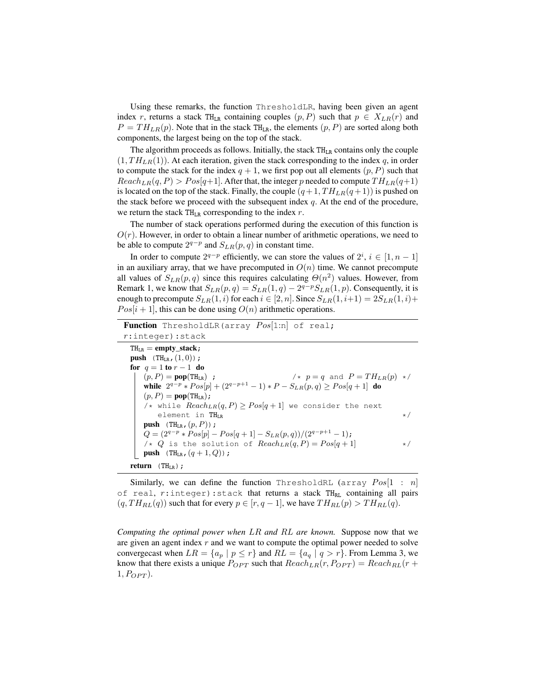Using these remarks, the function ThresholdLR, having been given an agent index r, returns a stack TH<sub>LR</sub> containing couples  $(p, P)$  such that  $p \in X_{LR}(r)$  and  $P = TH_{LR}(p)$ . Note that in the stack TH<sub>LR</sub>, the elements  $(p, P)$  are sorted along both components, the largest being on the top of the stack.

The algorithm proceeds as follows. Initially, the stack  $TH_{LR}$  contains only the couple  $(1, TH_{LR}(1))$ . At each iteration, given the stack corresponding to the index q, in order to compute the stack for the index  $q + 1$ , we first pop out all elements  $(p, P)$  such that  $Reach_{LR}(q, P) > Pos[q+1]$ . After that, the integer p needed to compute  $TH_{LR}(q+1)$ is located on the top of the stack. Finally, the couple  $(q+1, TH_{LR}(q+1))$  is pushed on the stack before we proceed with the subsequent index  $q$ . At the end of the procedure, we return the stack  $TH_{LR}$  corresponding to the index r.

The number of stack operations performed during the execution of this function is  $O(r)$ . However, in order to obtain a linear number of arithmetic operations, we need to be able to compute  $2^{q-p}$  and  $S_{LR}(p,q)$  in constant time.

In order to compute  $2^{q-p}$  efficiently, we can store the values of  $2^i$ ,  $i \in [1, n-1]$ in an auxiliary array, that we have precomputed in  $O(n)$  time. We cannot precompute all values of  $S_{LR}(p,q)$  since this requires calculating  $\Theta(n^2)$  values. However, from Remark 1, we know that  $S_{LR}(p,q) = S_{LR}(1,q) - 2^{q-p} S_{LR}(1,p)$ . Consequently, it is enough to precompute  $S_{LR}(1, i)$  for each  $i \in [2, n]$ . Since  $S_{LR}(1, i+1) = 2S_{LR}(1, i) +$  $Pos[i + 1]$ , this can be done using  $O(n)$  arithmetic operations.

### Function ThresholdLR(array  $Pos[1:n]$  of real; r:integer):stack

```
TH_{LR} = empty\_stack;push (TH_{LR}, (1, 0));
for q = 1 to r - 1 do
    (p, P) = pop(TH_{LR}); \qquad \qquad / * \quad p = q \text{ and } P = TH_{LR}(p) \rightarrow /while 2^{q-p} * Pos[p] + (2^{q-p+1} - 1) * P - S_{LR}(p, q) \ge Pos[q + 1] do
   (p, P) = pop(TH_{LR});/* while Reach_{LR}(q, P) \ge Pos[q + 1] we consider the next
       element in TH_{LR} \star/push (TH_{LR}, (p, P));
    Q = (2^{q-p} * Pos[p] - Pos[q + 1] - S_{LR}(p, q))/(2^{q-p+1} - 1);/* Q is the solution of Reach_{LR}(q, P) = Pos[q + 1] */
   push (TH<sub>LR</sub>, (q + 1, Q));
return (TH_{LR});
```
Similarly, we can define the function ThresholdRL (array  $Pos[1: n]$ of real,  $r:$ integer): stack that returns a stack TH<sub>RL</sub> containing all pairs  $(q, TH_{RL}(q))$  such that for every  $p \in [r, q-1]$ , we have  $TH_{RL}(p) > TH_{RL}(q)$ .

*Computing the optimal power when* LR *and* RL *are known.* Suppose now that we are given an agent index  $r$  and we want to compute the optimal power needed to solve convergecast when  $LR = \{a_p \mid p \leq r\}$  and  $RL = \{a_q \mid q > r\}$ . From Lemma 3, we know that there exists a unique  $P_{OPT}$  such that  $Reach_{LR}(r, P_{OPT}) =Reach_{RL}(r +$  $1, P_{OPT}$ ).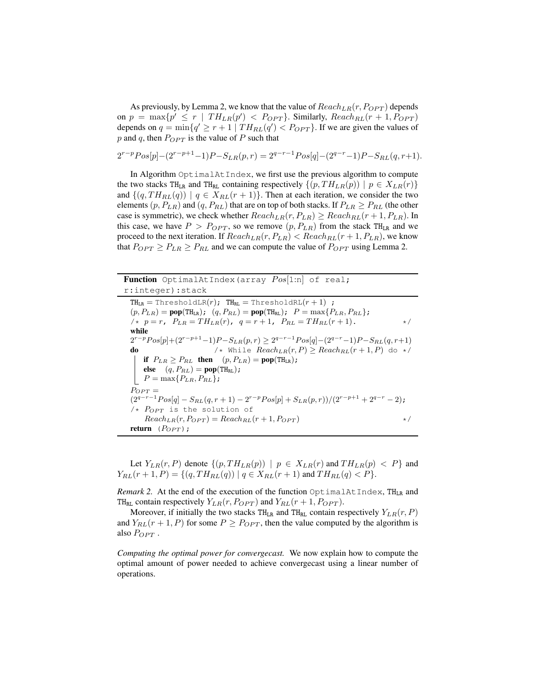As previously, by Lemma 2, we know that the value of  $Reach_{LR}(r, Pop_T)$  depends on  $p = \max\{p' \leq r \mid TH_{LR}(p') < P_{OPT}\}\$ . Similarly,  $Reach_{RL}(r + 1, P_{OPT})$ depends on  $q = \min\{q' \ge r + 1 \mid TH_{RL}(q') < P_{OPT}\}$ . If we are given the values of p and q, then  $P_{OPT}$  is the value of P such that

$$
2^{r-p}Pos[p] - (2^{r-p+1}-1)P - S_{LR}(p,r) = 2^{q-r-1}Pos[q] - (2^{q-r}-1)P - S_{RL}(q,r+1).
$$

In Algorithm OptimalAtIndex, we first use the previous algorithm to compute the two stacks TH<sub>LR</sub> and TH<sub>RL</sub> containing respectively  $\{(p, TH_{LR}(p)) \mid p \in X_{LR}(r)\}\$ and  $\{(q, TH_{RL}(q)) \mid q \in X_{RL}(r+1)\}.$  Then at each iteration, we consider the two elements  $(p, P_{LR})$  and  $(q, P_{RL})$  that are on top of both stacks. If  $P_{LR} \geq P_{RL}$  (the other case is symmetric), we check whether  $Reach_{LR}(r, P_{LR}) \geq Recall_{RL}(r+1, P_{LR})$ . In this case, we have  $P > P_{OPT}$ , so we remove  $(p, P_{LR})$  from the stack TH<sub>LR</sub> and we proceed to the next iteration. If  $Reach_{LR}(r, P_{LR}) < Read_{RL}(r+1, P_{LR})$ , we know that  $P_{OPT} \geq P_{LR} \geq P_{RL}$  and we can compute the value of  $P_{OPT}$  using Lemma 2.

**Function** OptimalAtIndex(array  $Pos[1:n]$  of real; r:integer):stack  $TH_{LR}$  = ThresholdLR(r);  $TH_{RL}$  = ThresholdRL( $r + 1$ ) ;  $(p, P_{LR}) = \text{pop}(\text{TH}_{LR}); (q, P_{RL}) = \text{pop}(\text{TH}_{RL}); P = \max\{P_{LR}, P_{RL}\};$  $\gamma * p = r$ ,  $P_{LR} = TH_{LR}(r)$ ,  $q = r + 1$ ,  $P_{RL} = TH_{RL}(r + 1)$ . \*/ while  $2^{r-p}Pos[p]+(2^{r-p+1}-1)P-S_{LR}(p,r) \geq 2^{q-r-1}Pos[q] - (2^{q-r}-1)P-S_{RL}(q,r+1)$ **do** /\* While  $Reach_{LR}(r, P) \geq Reach_{RL}(r + 1, P)$  do \*/ if  $P_{LR} \geq P_{RL}$  then  $(p, P_{LR}) = pop(TH_{LR})$ ; else  $(q, P_{RL}) = \text{pop}(\text{TH}_{RL});$  $\left| P = \max\{P_{LR}, P_{RL}\}\right|;$  $P_{OPT} =$  $(2^{q-r-1}Pos[q]-S_{RL}(q,r+1)-2^{r-p}Pos[p]+S_{LR}(p,r))/(2^{r-p+1}+2^{q-r}-2);$  $/*$   $P_{OPT}$  is the solution of  $Reach_{LR}(r, Pop_T) = Reach_{RL}(r + 1, Pop_T)$  \*/ return  $(P_{OPT})$ ;

Let  $Y_{LR}(r, P)$  denote  $\{(p, TH_{LR}(p)) \mid p \in X_{LR}(r) \text{ and } TH_{LR}(p) < P\}$  and  $Y_{RL}(r+1, P) = \{(q, TH_{RL}(q)) \mid q \in X_{RL}(r+1) \text{ and } TH_{RL}(q) < P\}.$ 

*Remark 2.* At the end of the execution of the function OptimalAtIndex, TH<sub>LR</sub> and TH<sub>RL</sub> contain respectively  $Y_{LR}(r, P_{OPT})$  and  $Y_{RL}(r + 1, P_{OPT})$ .

Moreover, if initially the two stacks TH<sub>LR</sub> and TH<sub>RL</sub> contain respectively  $Y_{LR}(r, P)$ and  $Y_{RL}(r+1, P)$  for some  $P \geq P_{OPT}$ , then the value computed by the algorithm is also  $P_{OPT}$ .

*Computing the optimal power for convergecast.* We now explain how to compute the optimal amount of power needed to achieve convergecast using a linear number of operations.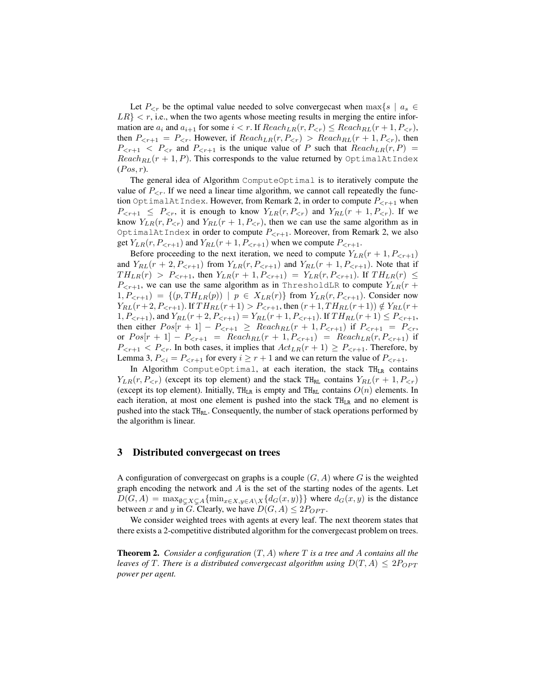Let  $P_{\leq r}$  be the optimal value needed to solve convergecast when max{s |  $a_s \in$  $LR$ }  $\langle r, i.e.,$  when the two agents whose meeting results in merging the entire information are  $a_i$  and  $a_{i+1}$  for some  $i < r$ . If  $Reach_{LR}(r, P_{\leq r}) \leqReach_{RL}(r+1, P_{\leq r}),$ then  $P_{\leq r+1} = P_{\leq r}$ . However, if  $Reach_{LR}(r, P_{\leq r}) > Readch_{RL}(r + 1, P_{\leq r})$ , then  $P_{\leq r+1}$   $\leq$   $P_{\leq r}$  and  $P_{\leq r+1}$  is the unique value of P such that  $Reach_{LR}(r, P)$  =  $Reach_{RL}(r + 1, P)$ . This corresponds to the value returned by OptimalAtIndex  $(Pos, r)$ .

The general idea of Algorithm ComputeOptimal is to iteratively compute the value of  $P_{\leq r}$ . If we need a linear time algorithm, we cannot call repeatedly the function OptimalAtIndex. However, from Remark 2, in order to compute  $P_{\leq r+1}$  when  $P_{\leq r+1} \leq P_{\leq r}$ , it is enough to know  $Y_{LR}(r, P_{\leq r})$  and  $Y_{RL}(r + 1, P_{\leq r})$ . If we know  $Y_{LR}(r, P_{\leq r})$  and  $Y_{RL}(r + 1, P_{\leq r})$ , then we can use the same algorithm as in OptimalAtIndex in order to compute  $P_{\leq r+1}$ . Moreover, from Remark 2, we also get  $Y_{LR}(r, P_{< r+1})$  and  $Y_{RL}(r + 1, P_{< r+1})$  when we compute  $P_{< r+1}$ .

Before proceeding to the next iteration, we need to compute  $Y_{LR}(r+1, P_{\leq r+1})$ and  $Y_{RL}(r+2, P_{\leq r+1})$  from  $Y_{LR}(r, P_{\leq r+1})$  and  $Y_{RL}(r+1, P_{\leq r+1})$ . Note that if  $TH_{LR}(r) > P_{\leq r+1}$ , then  $Y_{LR}(r+1, P_{\leq r+1}) = Y_{LR}(r, P_{\leq r+1})$ . If  $TH_{LR}(r) \leq$  $P_{\leq r+1}$ , we can use the same algorithm as in ThresholdLR to compute  $Y_{LR}(r + r)$  $1, P_{\leq r+1}) = \{ (p, TH_{LR}(p)) \mid p \in X_{LR}(r) \}$  from  $Y_{LR}(r, P_{\leq r+1})$ . Consider now  $Y_{RL}(r+2, P_{< r+1})$ . If  $TH_{RL}(r+1) > P_{< r+1}$ , then  $(r+1, TH_{RL}(r+1)) \notin Y_{RL}(r+1)$  $1, P_{\leq r+1}$ ), and  $Y_{RL}(r+2, P_{\leq r+1}) = Y_{RL}(r+1, P_{\leq r+1})$ . If  $TH_{RL}(r+1) \leq P_{\leq r+1}$ , then either  $Pos[r + 1] - P_{< r+1} \geq Reach_{RL}(r + 1, P_{< r+1})$  if  $P_{< r+1} = P_{< r}$ , or  $Pos[r + 1] - P_{< r+1}$  =  $Reach_{RL}(r + 1, P_{< r+1})$  =  $Reach_{LR}(r, P_{< r+1})$  if  $P_{\leq r+1} < P_{\leq r}$ . In both cases, it implies that  $Act_{LR}(r+1) \geq P_{\leq r+1}$ . Therefore, by Lemma 3,  $P_{\leq i} = P_{\leq r+1}$  for every  $i \geq r+1$  and we can return the value of  $P_{\leq r+1}$ .

In Algorithm ComputeOptimal, at each iteration, the stack  $TH_{LR}$  contains  $Y_{LR}(r, P_{\leq r})$  (except its top element) and the stack TH<sub>RL</sub> contains  $Y_{RL}(r + 1, P_{\leq r})$ (except its top element). Initially,  $TH_{LR}$  is empty and  $TH_{RL}$  contains  $O(n)$  elements. In each iteration, at most one element is pushed into the stack  $TH_{LR}$  and no element is pushed into the stack  $TH_{RL}$ . Consequently, the number of stack operations performed by the algorithm is linear.

### 3 Distributed convergecast on trees

A configuration of convergecast on graphs is a couple  $(G, A)$  where G is the weighted graph encoding the network and  $\tilde{A}$  is the set of the starting nodes of the agents. Let  $D(G, A) = \max_{\emptyset \subset X \subset A} {\{\min_{x \in X, y \in A \setminus X} {\{d_G(x, y)\}}\}}$  where  $d_G(x, y)$  is the distance between x and y in G. Clearly, we have  $D(G, A) \leq 2P_{OPT}$ .

We consider weighted trees with agents at every leaf. The next theorem states that there exists a 2-competitive distributed algorithm for the convergecast problem on trees.

Theorem 2. *Consider a configuration* (T, A) *where* T *is a tree and* A *contains all the leaves of* T. There is a distributed convergecast algorithm using  $D(T, A) \leq 2P_{OPT}$ *power per agent.*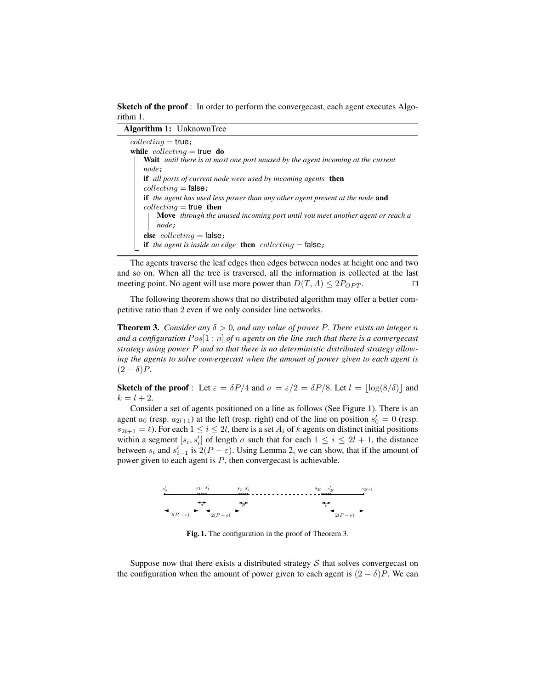Sketch of the proof : In order to perform the converge cast, each agent executes Algorithm 1.

Algorithm 1: UnknownTree  $collecting = true$ 

| $couecung = uue;$                                                                           |  |
|---------------------------------------------------------------------------------------------|--|
| while <i>collecting</i> = true do                                                           |  |
| <b>Wait</b> until there is at most one port unused by the agent incoming at the current     |  |
| node;                                                                                       |  |
| <b>if</b> all ports of current node were used by incoming agents then                       |  |
| $collecting = false;$                                                                       |  |
| <b>if</b> the agent has used less power than any other agent present at the node <b>and</b> |  |
| <i>collecting</i> = true then                                                               |  |
| Move through the unused incoming port until you meet another agent or reach a               |  |
| node;                                                                                       |  |
| else $collecting = false;$                                                                  |  |
| if the agent is inside an edge then collecting = false;                                     |  |

The agents traverse the leaf edges then edges between nodes at height one and two and so on. When all the tree is traversed, all the information is collected at the last meeting point. No agent will use more power than  $D(T, A) \leq 2P_{OPT}$ .

The following theorem shows that no distributed algorithm may offer a better competitive ratio than 2 even if we only consider line networks.

**Theorem 3.** *Consider any*  $\delta > 0$ *, and any value of power P. There exists an integer n and a configuration*  $Pos[1:n]$  *of n agents on the line such that there is a convergecast strategy using power* P *and so that there is no deterministic distributed strategy allowing the agents to solve convergecast when the amount of power given to each agent is*  $(2 - \delta)P$ .

**Sketch of the proof**: Let  $\varepsilon = \delta P/4$  and  $\sigma = \varepsilon/2 = \delta P/8$ . Let  $l = |\log(8/\delta)|$  and  $k = l + 2.$ 

Consider a set of agents positioned on a line as follows (See Figure 1). There is an agent  $a_0$  (resp.  $a_{2l+1}$ ) at the left (resp. right) end of the line on position  $s'_0 = 0$  (resp.  $s_{2l+1} = \ell$ ). For each  $1 \le i \le 2l$ , there is a set  $A_i$  of k agents on distinct initial positions within a segment  $[s_i, s'_i]$  of length  $\sigma$  such that for each  $1 \le i \le 2l + 1$ , the distance between  $s_i$  and  $s'_{i-1}$  is  $2(P - \varepsilon)$ . Using Lemma 2, we can show, that if the amount of power given to each agent is  $P$ , then convergecast is achievable.



Fig. 1. The configuration in the proof of Theorem 3.

Suppose now that there exists a distributed strategy  $S$  that solves converge cast on the configuration when the amount of power given to each agent is  $(2 - \delta)P$ . We can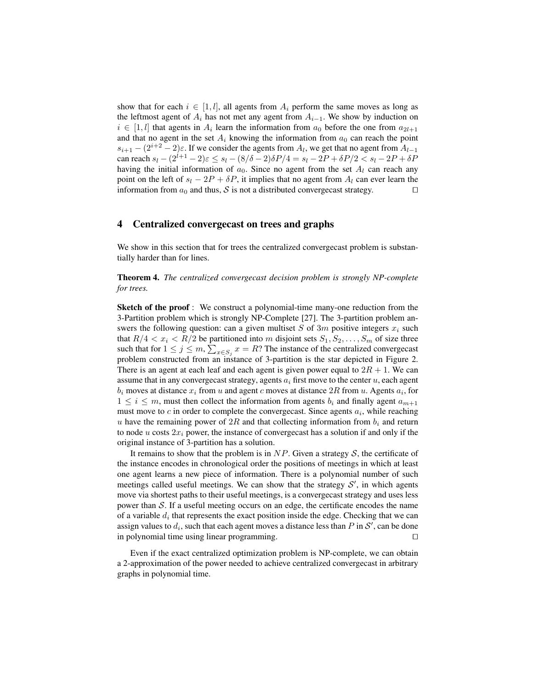show that for each  $i \in [1, l]$ , all agents from  $A_i$  perform the same moves as long as the leftmost agent of  $A_i$  has not met any agent from  $A_{i-1}$ . We show by induction on  $i \in [1, l]$  that agents in  $A_i$  learn the information from  $a_0$  before the one from  $a_{2l+1}$ and that no agent in the set  $A_i$  knowing the information from  $a_0$  can reach the point  $s_{i+1} - (2^{i+2} - 2)\varepsilon$ . If we consider the agents from  $A_l$ , we get that no agent from  $A_{l-1}$ can reach  $s_l - (2^{l+1} - 2)\varepsilon \le s_l - (8/\delta - 2)\delta P/4 = s_l - 2P + \delta P/2 < s_l - 2P + \delta P$ having the initial information of  $a_0$ . Since no agent from the set  $A_l$  can reach any point on the left of  $s_l - 2P + \delta P$ , it implies that no agent from  $A_l$  can ever learn the information from  $a_0$  and thus, S is not a distributed convergecast strategy. information from  $a_0$  and thus,  $S$  is not a distributed convergecast strategy.

## 4 Centralized convergecast on trees and graphs

We show in this section that for trees the centralized convergecast problem is substantially harder than for lines.

Theorem 4. *The centralized convergecast decision problem is strongly NP-complete for trees.*

Sketch of the proof : We construct a polynomial-time many-one reduction from the 3-Partition problem which is strongly NP-Complete [27]. The 3-partition problem answers the following question: can a given multiset S of  $3m$  positive integers  $x_i$  such that  $R/4 < x_i < R/2$  be partitioned into m disjoint sets  $S_1, S_2, \ldots, S_m$  of size three such that for  $1 \leq j \leq m$ ,  $\sum_{x \in S_j} x = R$ ? The instance of the centralized convergecast problem constructed from an instance of 3-partition is the star depicted in Figure 2. There is an agent at each leaf and each agent is given power equal to  $2R + 1$ . We can assume that in any converge cast strategy, agents  $a_i$  first move to the center  $u$ , each agent  $b_i$  moves at distance  $x_i$  from u and agent c moves at distance  $2R$  from u. Agents  $a_i$ , for  $1 \leq i \leq m$ , must then collect the information from agents  $b_i$  and finally agent  $a_{m+1}$ must move to  $c$  in order to complete the converge cast. Since agents  $a_i$ , while reaching u have the remaining power of  $2R$  and that collecting information from  $b_i$  and return to node u costs  $2x_i$  power, the instance of convergecast has a solution if and only if the original instance of 3-partition has a solution.

It remains to show that the problem is in  $NP$ . Given a strategy  $S$ , the certificate of the instance encodes in chronological order the positions of meetings in which at least one agent learns a new piece of information. There is a polynomial number of such meetings called useful meetings. We can show that the strategy  $S'$ , in which agents move via shortest paths to their useful meetings, is a convergecast strategy and uses less power than  $S$ . If a useful meeting occurs on an edge, the certificate encodes the name of a variable  $d_i$  that represents the exact position inside the edge. Checking that we can assign values to  $d_i$ , such that each agent moves a distance less than P in S', can be done in polynomial time using linear programming.  $\Box$ 

Even if the exact centralized optimization problem is NP-complete, we can obtain a 2-approximation of the power needed to achieve centralized convergecast in arbitrary graphs in polynomial time.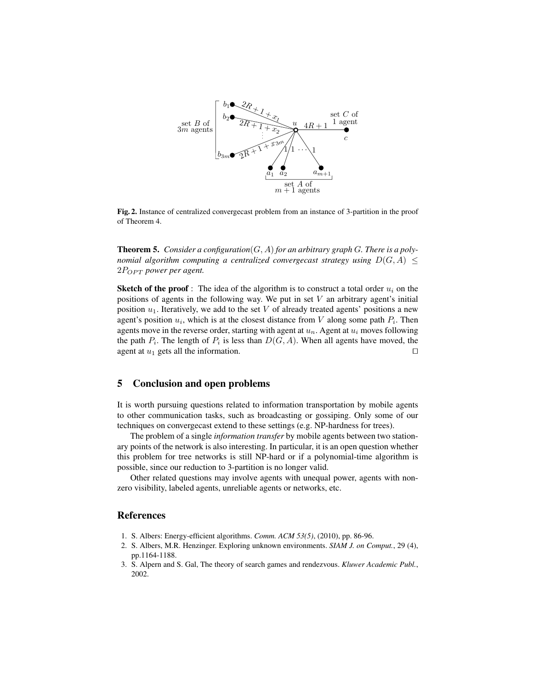

Fig. 2. Instance of centralized convergecast problem from an instance of 3-partition in the proof of Theorem 4.

**Theorem 5.** *Consider a configuration*( $G$ ,  $A$ ) *for an arbitrary graph*  $G$ *. There is a polynomial algorithm computing a centralized convergecast strategy using*  $D(G, A) \leq$ 2P<sub>OPT</sub> power per agent.

**Sketch of the proof**: The idea of the algorithm is to construct a total order  $u_i$  on the positions of agents in the following way. We put in set  $V$  an arbitrary agent's initial position  $u_1$ . Iteratively, we add to the set V of already treated agents' positions a new agent's position  $u_i$ , which is at the closest distance from V along some path  $P_i$ . Then agents move in the reverse order, starting with agent at  $u_n$ . Agent at  $u_i$  moves following the path  $P_i$ . The length of  $P_i$  is less than  $D(G, A)$ . When all agents have moved, the agent at  $u_1$  gets all the information.

# 5 Conclusion and open problems

It is worth pursuing questions related to information transportation by mobile agents to other communication tasks, such as broadcasting or gossiping. Only some of our techniques on convergecast extend to these settings (e.g. NP-hardness for trees).

The problem of a single *information transfer* by mobile agents between two stationary points of the network is also interesting. In particular, it is an open question whether this problem for tree networks is still NP-hard or if a polynomial-time algorithm is possible, since our reduction to 3-partition is no longer valid.

Other related questions may involve agents with unequal power, agents with nonzero visibility, labeled agents, unreliable agents or networks, etc.

# References

- 1. S. Albers: Energy-efficient algorithms. *Comm. ACM 53(5)*, (2010), pp. 86-96.
- 2. S. Albers, M.R. Henzinger. Exploring unknown environments. *SIAM J. on Comput.*, 29 (4), pp.1164-1188.
- 3. S. Alpern and S. Gal, The theory of search games and rendezvous. *Kluwer Academic Publ.*, 2002.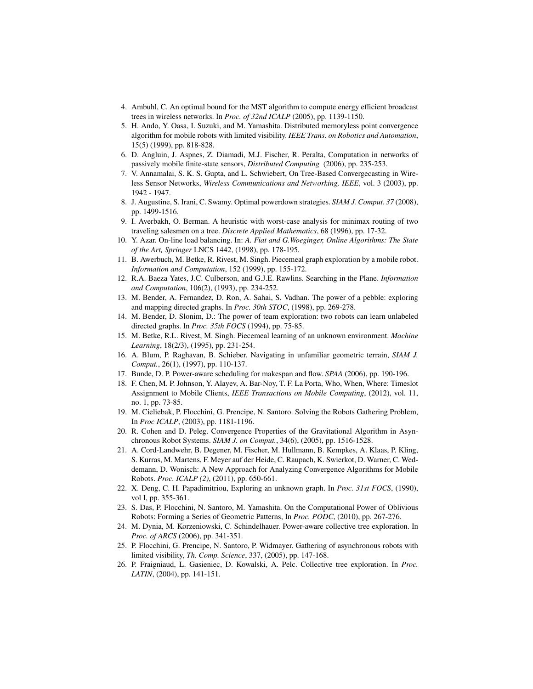- 4. Ambuhl, C. An optimal bound for the MST algorithm to compute energy efficient broadcast trees in wireless networks. In *Proc. of 32nd ICALP* (2005), pp. 1139-1150.
- 5. H. Ando, Y. Oasa, I. Suzuki, and M. Yamashita. Distributed memoryless point convergence algorithm for mobile robots with limited visibility. *IEEE Trans. on Robotics and Automation*, 15(5) (1999), pp. 818-828.
- 6. D. Angluin, J. Aspnes, Z. Diamadi, M.J. Fischer, R. Peralta, Computation in networks of passively mobile finite-state sensors, *Distributed Computing* (2006), pp. 235-253.
- 7. V. Annamalai, S. K. S. Gupta, and L. Schwiebert, On Tree-Based Convergecasting in Wireless Sensor Networks, *Wireless Communications and Networking, IEEE*, vol. 3 (2003), pp. 1942 - 1947.
- 8. J. Augustine, S. Irani, C. Swamy. Optimal powerdown strategies. *SIAM J. Comput. 37* (2008), pp. 1499-1516.
- 9. I. Averbakh, O. Berman. A heuristic with worst-case analysis for minimax routing of two traveling salesmen on a tree. *Discrete Applied Mathematics*, 68 (1996), pp. 17-32.
- 10. Y. Azar. On-line load balancing. In: *A. Fiat and G.Woeginger, Online Algorithms: The State of the Art, Springer* LNCS 1442, (1998), pp. 178-195.
- 11. B. Awerbuch, M. Betke, R. Rivest, M. Singh. Piecemeal graph exploration by a mobile robot. *Information and Computation*, 152 (1999), pp. 155-172.
- 12. R.A. Baeza Yates, J.C. Culberson, and G.J.E. Rawlins. Searching in the Plane. *Information and Computation*, 106(2), (1993), pp. 234-252.
- 13. M. Bender, A. Fernandez, D. Ron, A. Sahai, S. Vadhan. The power of a pebble: exploring and mapping directed graphs. In *Proc. 30th STOC*, (1998), pp. 269-278.
- 14. M. Bender, D. Slonim, D.: The power of team exploration: two robots can learn unlabeled directed graphs. In *Proc. 35th FOCS* (1994), pp. 75-85.
- 15. M. Betke, R.L. Rivest, M. Singh. Piecemeal learning of an unknown environment. *Machine Learning*, 18(2/3), (1995), pp. 231-254.
- 16. A. Blum, P. Raghavan, B. Schieber. Navigating in unfamiliar geometric terrain, *SIAM J. Comput.*, 26(1), (1997), pp. 110-137.
- 17. Bunde, D. P. Power-aware scheduling for makespan and flow. *SPAA* (2006), pp. 190-196.
- 18. F. Chen, M. P. Johnson, Y. Alayev, A. Bar-Noy, T. F. La Porta, Who, When, Where: Timeslot Assignment to Mobile Clients, *IEEE Transactions on Mobile Computing*, (2012), vol. 11, no. 1, pp. 73-85.
- 19. M. Cieliebak, P. Flocchini, G. Prencipe, N. Santoro. Solving the Robots Gathering Problem, In *Proc ICALP*, (2003), pp. 1181-1196.
- 20. R. Cohen and D. Peleg. Convergence Properties of the Gravitational Algorithm in Asynchronous Robot Systems. *SIAM J. on Comput.*, 34(6), (2005), pp. 1516-1528.
- 21. A. Cord-Landwehr, B. Degener, M. Fischer, M. Hullmann, B. Kempkes, A. Klaas, P. Kling, S. Kurras, M. Martens, F. Meyer auf der Heide, C. Raupach, K. Swierkot, D. Warner, C. Weddemann, D. Wonisch: A New Approach for Analyzing Convergence Algorithms for Mobile Robots. *Proc. ICALP (2)*, (2011), pp. 650-661.
- 22. X. Deng, C. H. Papadimitriou, Exploring an unknown graph. In *Proc. 31st FOCS*, (1990), vol I, pp. 355-361.
- 23. S. Das, P. Flocchini, N. Santoro, M. Yamashita. On the Computational Power of Oblivious Robots: Forming a Series of Geometric Patterns, In *Proc. PODC*, (2010), pp. 267-276.
- 24. M. Dynia, M. Korzeniowski, C. Schindelhauer. Power-aware collective tree exploration. In *Proc. of ARCS* (2006), pp. 341-351.
- 25. P. Flocchini, G. Prencipe, N. Santoro, P. Widmayer. Gathering of asynchronous robots with limited visibility, *Th. Comp. Science*, 337, (2005), pp. 147-168.
- 26. P. Fraigniaud, L. Gasieniec, D. Kowalski, A. Pelc. Collective tree exploration. In *Proc. LATIN*, (2004), pp. 141-151.